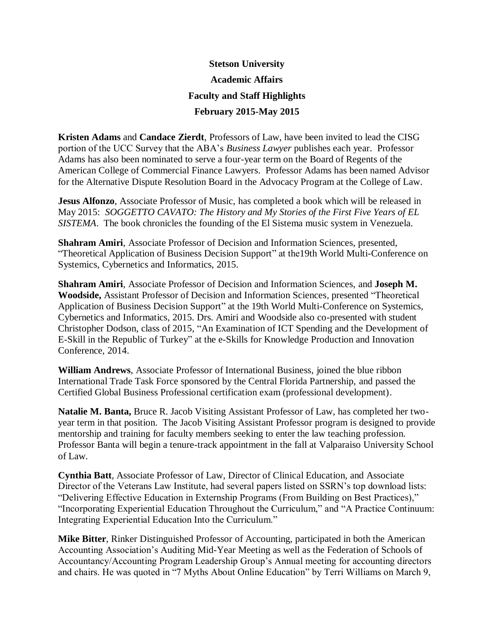## **Stetson University Academic Affairs Faculty and Staff Highlights February 2015-May 2015**

**Kristen Adams** and **Candace Zierdt**, Professors of Law, have been invited to lead the CISG portion of the UCC Survey that the ABA's *Business Lawyer* publishes each year. Professor Adams has also been nominated to serve a four-year term on the Board of Regents of the American College of Commercial Finance Lawyers. Professor Adams has been named Advisor for the Alternative Dispute Resolution Board in the Advocacy Program at the College of Law.

**Jesus Alfonzo**, Associate Professor of Music, has completed a book which will be released in May 2015: *SOGGETTO CAVATO: The History and My Stories of the First Five Years of EL SISTEMA*. The book chronicles the founding of the El Sistema music system in Venezuela.

**Shahram Amiri**, Associate Professor of Decision and Information Sciences, presented, "Theoretical Application of Business Decision Support" at the19th World Multi-Conference on Systemics, Cybernetics and Informatics, 2015.

**Shahram Amiri**, Associate Professor of Decision and Information Sciences, and **Joseph M. Woodside,** Assistant Professor of Decision and Information Sciences, presented "Theoretical Application of Business Decision Support" at the 19th World Multi-Conference on Systemics, Cybernetics and Informatics, 2015. Drs. Amiri and Woodside also co-presented with student Christopher Dodson, class of 2015, "An Examination of ICT Spending and the Development of E-Skill in the Republic of Turkey" at the e-Skills for Knowledge Production and Innovation Conference, 2014.

**William Andrews**, Associate Professor of International Business, joined the blue ribbon International Trade Task Force sponsored by the Central Florida Partnership, and passed the Certified Global Business Professional certification exam (professional development).

**Natalie M. Banta,** Bruce R. Jacob Visiting Assistant Professor of Law, has completed her twoyear term in that position. The Jacob Visiting Assistant Professor program is designed to provide mentorship and training for faculty members seeking to enter the law teaching profession. Professor Banta will begin a tenure-track appointment in the fall at Valparaiso University School of Law.

**Cynthia Batt**, Associate Professor of Law, Director of Clinical Education, and Associate Director of the Veterans Law Institute, had several papers listed on SSRN's top download lists: "Delivering Effective Education in Externship Programs (From Building on Best Practices)," "Incorporating Experiential Education Throughout the Curriculum," and "A Practice Continuum: Integrating Experiential Education Into the Curriculum."

**Mike Bitter**, Rinker Distinguished Professor of Accounting, participated in both the American Accounting Association's Auditing Mid-Year Meeting as well as the Federation of Schools of Accountancy/Accounting Program Leadership Group's Annual meeting for accounting directors and chairs. He was quoted in "7 Myths About Online Education" by Terri Williams on March 9,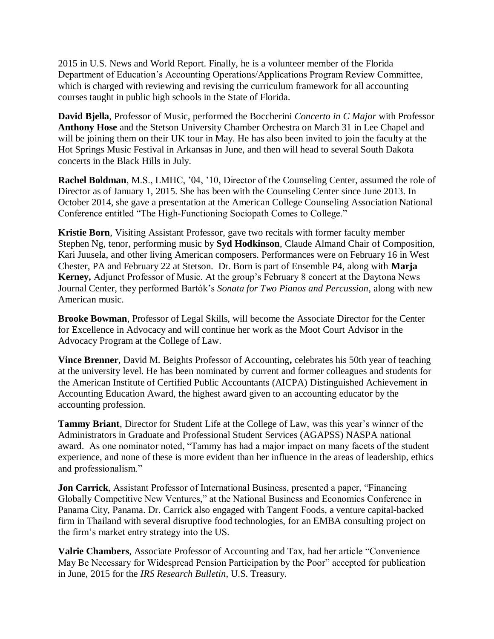2015 in U.S. News and World Report. Finally, he is a volunteer member of the Florida Department of Education's Accounting Operations/Applications Program Review Committee, which is charged with reviewing and revising the curriculum framework for all accounting courses taught in public high schools in the State of Florida.

**David Bjella**, Professor of Music, performed the Boccherini *Concerto in C Major* with Professor **Anthony Hose** and the Stetson University Chamber Orchestra on March 31 in Lee Chapel and will be joining them on their UK tour in May. He has also been invited to join the faculty at the Hot Springs Music Festival in Arkansas in June, and then will head to several South Dakota concerts in the Black Hills in July.

**Rachel Boldman**, M.S., LMHC, '04, '10, Director of the Counseling Center, assumed the role of Director as of January 1, 2015. She has been with the Counseling Center since June 2013. In October 2014, she gave a presentation at the American College Counseling Association National Conference entitled "The High-Functioning Sociopath Comes to College."

**Kristie Born**, Visiting Assistant Professor, gave two recitals with former faculty member Stephen Ng, tenor, performing music by **Syd Hodkinson**, Claude Almand Chair of Composition, Kari Juusela, and other living American composers. Performances were on February 16 in West Chester, PA and February 22 at Stetson. Dr. Born is part of Ensemble P4, along with **Marja Kerney,** Adjunct Professor of Music. At the group's February 8 concert at the Daytona News Journal Center, they performed Bartók's *Sonata for Two Pianos and Percussion*, along with new American music.

**Brooke Bowman**, Professor of Legal Skills, will become the Associate Director for the Center for Excellence in Advocacy and will continue her work as the Moot Court Advisor in the Advocacy Program at the College of Law.

**Vince Brenner**, David M. Beights Professor of Accounting**,** celebrates his 50th year of teaching at the university level. He has been nominated by current and former colleagues and students for the American Institute of Certified Public Accountants (AICPA) Distinguished Achievement in Accounting Education Award, the highest award given to an accounting educator by the accounting profession.

**Tammy Briant**, Director for Student Life at the College of Law, was this year's winner of the Administrators in Graduate and Professional Student Services (AGAPSS) NASPA national award. As one nominator noted, "Tammy has had a major impact on many facets of the student experience, and none of these is more evident than her influence in the areas of leadership, ethics and professionalism."

**Jon Carrick**, Assistant Professor of International Business, presented a paper, "Financing Globally Competitive New Ventures," at the National Business and Economics Conference in Panama City, Panama. Dr. Carrick also engaged with Tangent Foods, a venture capital-backed firm in Thailand with several disruptive food technologies, for an EMBA consulting project on the firm's market entry strategy into the US.

**Valrie Chambers**, Associate Professor of Accounting and Tax, had her article "Convenience May Be Necessary for Widespread Pension Participation by the Poor" accepted for publication in June, 2015 for the *IRS Research Bulletin*, U.S. Treasury.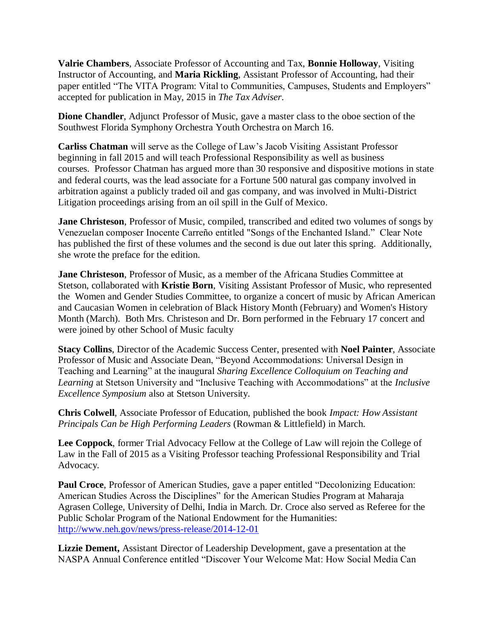**Valrie Chambers**, Associate Professor of Accounting and Tax, **Bonnie Holloway**, Visiting Instructor of Accounting, and **Maria Rickling**, Assistant Professor of Accounting, had their paper entitled "The VITA Program: Vital to Communities, Campuses, Students and Employers" accepted for publication in May, 2015 in *The Tax Adviser*.

**Dione Chandler**, Adjunct Professor of Music, gave a master class to the oboe section of the Southwest Florida Symphony Orchestra Youth Orchestra on March 16.

**Carliss Chatman** will serve as the College of Law's Jacob Visiting Assistant Professor beginning in fall 2015 and will teach Professional Responsibility as well as business courses. Professor Chatman has argued more than 30 responsive and dispositive motions in state and federal courts, was the lead associate for a Fortune 500 natural gas company involved in arbitration against a publicly traded oil and gas company, and was involved in Multi-District Litigation proceedings arising from an oil spill in the Gulf of Mexico.

**Jane Christeson**, Professor of Music, compiled, transcribed and edited two volumes of songs by Venezuelan composer Inocente Carreño entitled "Songs of the Enchanted Island." Clear Note has published the first of these volumes and the second is due out later this spring. Additionally, she wrote the preface for the edition.

**Jane Christeson**, Professor of Music, as a member of the Africana Studies Committee at Stetson, collaborated with **Kristie Born**, Visiting Assistant Professor of Music, who represented the Women and Gender Studies Committee, to organize a concert of music by African American and Caucasian Women in celebration of Black History Month (February) and Women's History Month (March). Both Mrs. Christeson and Dr. Born performed in the February 17 concert and were joined by other School of Music faculty

**Stacy Collins**, Director of the Academic Success Center, presented with **Noel Painter**, Associate Professor of Music and Associate Dean, "Beyond Accommodations: Universal Design in Teaching and Learning" at the inaugural *Sharing Excellence Colloquium on Teaching and Learning* at Stetson University and "Inclusive Teaching with Accommodations" at the *Inclusive Excellence Symposium* also at Stetson University.

**Chris Colwell**, Associate Professor of Education, published the book *Impact: How Assistant Principals Can be High Performing Leaders* (Rowman & Littlefield) in March.

**Lee Coppock**, former Trial Advocacy Fellow at the College of Law will rejoin the College of Law in the Fall of 2015 as a Visiting Professor teaching Professional Responsibility and Trial Advocacy.

**Paul Croce**, Professor of American Studies, gave a paper entitled "Decolonizing Education: American Studies Across the Disciplines" for the American Studies Program at Maharaja Agrasen College, University of Delhi, India in March. Dr. Croce also served as Referee for the Public Scholar Program of the National Endowment for the Humanities: [http://www.neh.gov/news/press-release/2014-12-01](https://email.ad.stetson.edu/owa/redir.aspx?C=nGaNr936-Um-S3qHzluyzNsAY6tTRtII2jp0_r4ad0VhX95PTwgjY_qDqY-lo2UBYDtur5nuzMc.&URL=http%3a%2f%2fwww.neh.gov%2fnews%2fpress-release%2f2014-12-01)

**Lizzie Dement,** Assistant Director of Leadership Development, gave a presentation at the NASPA Annual Conference entitled "Discover Your Welcome Mat: How Social Media Can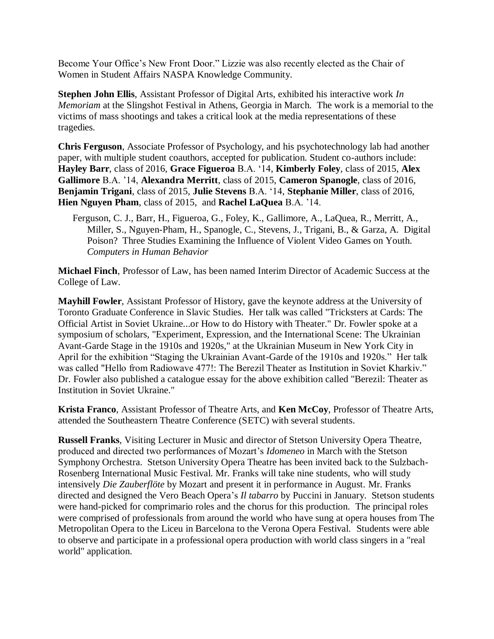Become Your Office's New Front Door." Lizzie was also recently elected as the Chair of Women in Student Affairs NASPA Knowledge Community.

**Stephen John Ellis**, Assistant Professor of Digital Arts, exhibited his interactive work *In Memoriam* at the Slingshot Festival in Athens, Georgia in March. The work is a memorial to the victims of mass shootings and takes a critical look at the media representations of these tragedies.

**Chris Ferguson**, Associate Professor of Psychology, and his psychotechnology lab had another paper, with multiple student coauthors, accepted for publication. Student co-authors include: **Hayley Barr**, class of 2016, **Grace Figueroa** B.A. '14, **Kimberly Foley**, class of 2015, **Alex Gallimore** B.A. '14, **Alexandra Merritt**, class of 2015, **Cameron Spanogle**, class of 2016, **Benjamin Trigani**, class of 2015, **Julie Stevens** B.A. '14, **Stephanie Miller**, class of 2016, **Hien Nguyen Pham**, class of 2015, and **Rachel LaQuea** B.A. '14.

Ferguson, C. J., Barr, H., Figueroa, G., Foley, K., Gallimore, A., LaQuea, R., Merritt, A., Miller, S., Nguyen-Pham, H., Spanogle, C., Stevens, J., Trigani, B., & Garza, A. Digital Poison? Three Studies Examining the Influence of Violent Video Games on Youth. *Computers in Human Behavior*

**Michael Finch**, Professor of Law, has been named Interim Director of Academic Success at the College of Law.

**Mayhill Fowler**, Assistant Professor of History, gave the keynote address at the University of Toronto Graduate Conference in Slavic Studies. Her talk was called "Tricksters at Cards: The Official Artist in Soviet Ukraine...or How to do History with Theater." Dr. Fowler spoke at a symposium of scholars, "Experiment, Expression, and the International Scene: The Ukrainian Avant-Garde Stage in the 1910s and 1920s," at the Ukrainian Museum in New York City in April for the exhibition "Staging the Ukrainian Avant-Garde of the 1910s and 1920s." Her talk was called "Hello from Radiowave 477!: The Berezil Theater as Institution in Soviet Kharkiv." Dr. Fowler also published a catalogue essay for the above exhibition called "Berezil: Theater as Institution in Soviet Ukraine."

**Krista Franco**, Assistant Professor of Theatre Arts, and **Ken McCoy**, Professor of Theatre Arts, attended the Southeastern Theatre Conference (SETC) with several students.

**Russell Franks**, Visiting Lecturer in Music and director of Stetson University Opera Theatre, produced and directed two performances of Mozart's *Idomeneo* in March with the Stetson Symphony Orchestra. Stetson University Opera Theatre has been invited back to the Sulzbach-Rosenberg International Music Festival. Mr. Franks will take nine students, who will study intensively *Die Zauberflöte* by Mozart and present it in performance in August. Mr. Franks directed and designed the Vero Beach Opera's *Il tabarro* by Puccini in January. Stetson students were hand-picked for comprimario roles and the chorus for this production. The principal roles were comprised of professionals from around the world who have sung at opera houses from The Metropolitan Opera to the Liceu in Barcelona to the Verona Opera Festival. Students were able to observe and participate in a professional opera production with world class singers in a "real world" application.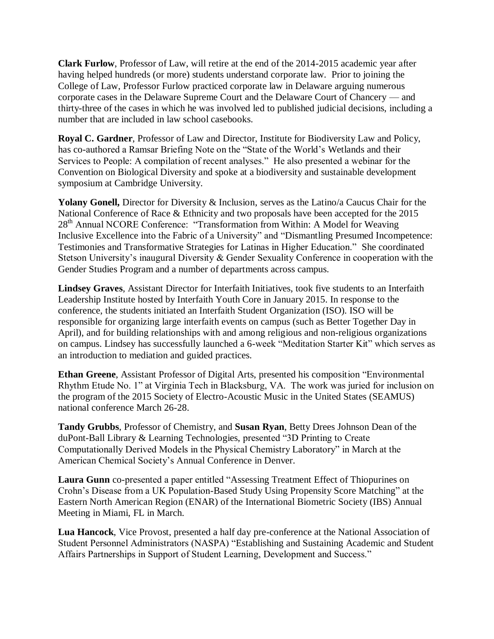**Clark Furlow**, Professor of Law, will retire at the end of the 2014-2015 academic year after having helped hundreds (or more) students understand corporate law. Prior to joining the College of Law, Professor Furlow practiced corporate law in Delaware arguing numerous corporate cases in the Delaware Supreme Court and the Delaware Court of Chancery — and thirty-three of the cases in which he was involved led to published judicial decisions, including a number that are included in law school casebooks.

**Royal C. Gardner**, Professor of Law and Director, Institute for Biodiversity Law and Policy, has co-authored a Ramsar Briefing Note on the "State of the World's Wetlands and their Services to People: A compilation of recent analyses." He also presented a webinar for the Convention on Biological Diversity and spoke at a biodiversity and sustainable development symposium at Cambridge University.

Yolany Gonell, Director for Diversity & Inclusion, serves as the Latino/a Caucus Chair for the National Conference of Race & Ethnicity and two proposals have been accepted for the 2015 28<sup>th</sup> Annual NCORE Conference: "Transformation from Within: A Model for Weaving Inclusive Excellence into the Fabric of a University" and "Dismantling Presumed Incompetence: Testimonies and Transformative Strategies for Latinas in Higher Education." She coordinated Stetson University's inaugural Diversity & Gender Sexuality Conference in cooperation with the Gender Studies Program and a number of departments across campus.

**Lindsey Graves**, Assistant Director for Interfaith Initiatives, took five students to an Interfaith Leadership Institute hosted by Interfaith Youth Core in January 2015. In response to the conference, the students initiated an Interfaith Student Organization (ISO). ISO will be responsible for organizing large interfaith events on campus (such as Better Together Day in April), and for building relationships with and among religious and non-religious organizations on campus. Lindsey has successfully launched a 6-week "Meditation Starter Kit" which serves as an introduction to mediation and guided practices.

**Ethan Greene**, Assistant Professor of Digital Arts, presented his composition "Environmental Rhythm Etude No. 1" at Virginia Tech in Blacksburg, VA. The work was juried for inclusion on the program of the 2015 Society of Electro-Acoustic Music in the United States (SEAMUS) national conference March 26-28.

**Tandy Grubbs**, Professor of Chemistry, and **Susan Ryan**, Betty Drees Johnson Dean of the duPont-Ball Library & Learning Technologies, presented "3D Printing to Create Computationally Derived Models in the Physical Chemistry Laboratory" in March at the American Chemical Society's Annual Conference in Denver.

**Laura Gunn** co-presented a paper entitled "Assessing Treatment Effect of Thiopurines on Crohn's Disease from a UK Population-Based Study Using Propensity Score Matching" at the Eastern North American Region (ENAR) of the International Biometric Society (IBS) Annual Meeting in Miami, FL in March.

**Lua Hancock**, Vice Provost, presented a half day pre-conference at the National Association of Student Personnel Administrators (NASPA) "Establishing and Sustaining Academic and Student Affairs Partnerships in Support of Student Learning, Development and Success."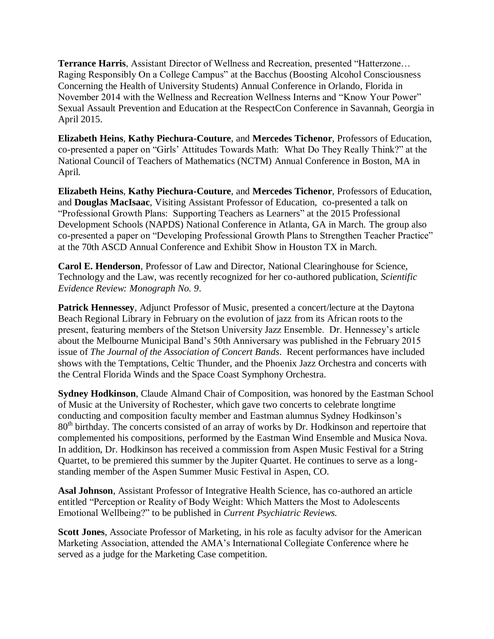**Terrance Harris**, Assistant Director of Wellness and Recreation, presented "Hatterzone… Raging Responsibly On a College Campus" at the Bacchus (Boosting Alcohol Consciousness Concerning the Health of University Students) Annual Conference in Orlando, Florida in November 2014 with the Wellness and Recreation Wellness Interns and "Know Your Power" Sexual Assault Prevention and Education at the RespectCon Conference in Savannah, Georgia in April 2015.

**Elizabeth Heins**, **Kathy Piechura-Couture**, and **Mercedes Tichenor**, Professors of Education, co-presented a paper on "Girls' Attitudes Towards Math: What Do They Really Think?" at the National Council of Teachers of Mathematics (NCTM) Annual Conference in Boston, MA in April.

**Elizabeth Heins**, **Kathy Piechura-Couture**, and **Mercedes Tichenor**, Professors of Education, and **Douglas MacIsaac**, Visiting Assistant Professor of Education, co-presented a talk on "Professional Growth Plans: Supporting Teachers as Learners" at the 2015 Professional Development Schools (NAPDS) National Conference in Atlanta, GA in March. The group also co-presented a paper on "Developing Professional Growth Plans to Strengthen Teacher Practice" at the 70th ASCD Annual Conference and Exhibit Show in Houston TX in March.

**Carol E. Henderson**, Professor of Law and Director, National Clearinghouse for Science, Technology and the Law, was recently recognized for her co-authored publication, *Scientific Evidence Review: Monograph No. 9*.

**Patrick Hennessey**, Adjunct Professor of Music, presented a concert/lecture at the Daytona Beach Regional Library in February on the evolution of jazz from its African roots to the present, featuring members of the Stetson University Jazz Ensemble. Dr. Hennessey's article about the Melbourne Municipal Band's 50th Anniversary was published in the February 2015 issue of *The Journal of the Association of Concert Bands*. Recent performances have included shows with the Temptations, Celtic Thunder, and the Phoenix Jazz Orchestra and concerts with the Central Florida Winds and the Space Coast Symphony Orchestra.

**Sydney Hodkinson**, Claude Almand Chair of Composition, was honored by the Eastman School of Music at the University of Rochester, which gave two concerts to celebrate longtime conducting and composition faculty member and Eastman alumnus Sydney Hodkinson's 80<sup>th</sup> birthday. The concerts consisted of an array of works by Dr. Hodkinson and repertoire that complemented his compositions, performed by the Eastman Wind Ensemble and Musica Nova. In addition, Dr. Hodkinson has received a commission from Aspen Music Festival for a String Quartet, to be premiered this summer by the Jupiter Quartet. He continues to serve as a longstanding member of the Aspen Summer Music Festival in Aspen, CO.

**Asal Johnson**, Assistant Professor of Integrative Health Science, has co-authored an article entitled "Perception or Reality of Body Weight: Which Matters the Most to Adolescents Emotional Wellbeing?" to be published in *Current Psychiatric Reviews.*

**Scott Jones**, Associate Professor of Marketing, in his role as faculty advisor for the American Marketing Association, attended the AMA's International Collegiate Conference where he served as a judge for the Marketing Case competition.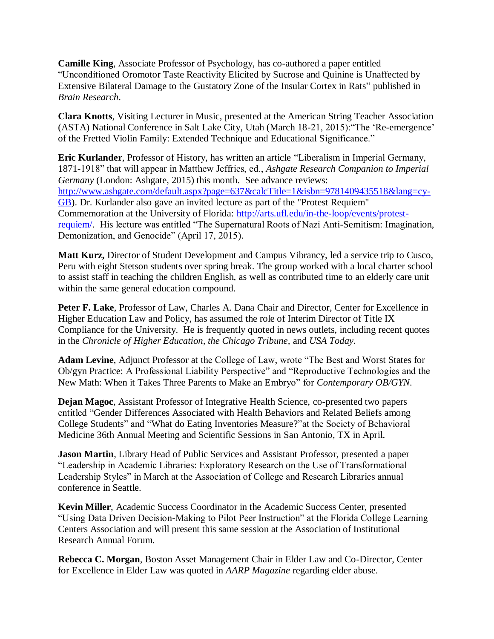**Camille King**, Associate Professor of Psychology, has co-authored a paper entitled "Unconditioned Oromotor Taste Reactivity Elicited by Sucrose and Quinine is Unaffected by Extensive Bilateral Damage to the Gustatory Zone of the Insular Cortex in Rats" published in *Brain Research*.

**Clara Knotts**, Visiting Lecturer in Music, presented at the American String Teacher Association (ASTA) National Conference in Salt Lake City, Utah (March 18-21, 2015):"The 'Re-emergence' of the Fretted Violin Family: Extended Technique and Educational Significance."

**Eric Kurlander**, Professor of History, has written an article "Liberalism in Imperial Germany, 1871-1918" that will appear in Matthew Jeffries, ed., *Ashgate Research Companion to Imperial Germany* (London: Ashgate, 2015) this month. See advance reviews: [http://www.ashgate.com/default.aspx?page=637&calcTitle=1&isbn=9781409435518&lang=cy-](http://www.ashgate.com/default.aspx?page=637&calcTitle=1&isbn=9781409435518&lang=cy-GB)[GB\)](http://www.ashgate.com/default.aspx?page=637&calcTitle=1&isbn=9781409435518&lang=cy-GB). Dr. Kurlander also gave an invited lecture as part of the "Protest Requiem" Commemoration at the University of Florida: [http://arts.ufl.edu/in-the-loop/events/protest](https://email.ad.stetson.edu/owa/redir.aspx?C=nGaNr936-Um-S3qHzluyzNsAY6tTRtII2jp0_r4ad0VhX95PTwgjY_qDqY-lo2UBYDtur5nuzMc.&URL=http%3a%2f%2farts.ufl.edu%2fin-the-loop%2fevents%2fprotest-requiem%2f)[requiem/.](https://email.ad.stetson.edu/owa/redir.aspx?C=nGaNr936-Um-S3qHzluyzNsAY6tTRtII2jp0_r4ad0VhX95PTwgjY_qDqY-lo2UBYDtur5nuzMc.&URL=http%3a%2f%2farts.ufl.edu%2fin-the-loop%2fevents%2fprotest-requiem%2f) His lecture was entitled "The Supernatural Roots of Nazi Anti-Semitism: Imagination, Demonization, and Genocide" (April 17, 2015).

**Matt Kurz,** Director of Student Development and Campus Vibrancy, led a service trip to Cusco, Peru with eight Stetson students over spring break. The group worked with a local charter school to assist staff in teaching the children English, as well as contributed time to an elderly care unit within the same general education compound.

**Peter F. Lake**, Professor of Law, Charles A. Dana Chair and Director, Center for Excellence in Higher Education Law and Policy, has assumed the role of Interim Director of Title IX Compliance for the University. He is frequently quoted in news outlets, including recent quotes in the *Chronicle of Higher Education, the Chicago Tribune,* and *USA Today.*

**Adam Levine**, Adjunct Professor at the College of Law, wrote "The Best and Worst States for Ob/gyn Practice: A Professional Liability Perspective" and "Reproductive Technologies and the New Math: When it Takes Three Parents to Make an Embryo" for *Contemporary OB/GYN*.

**Dejan Magoc**, Assistant Professor of Integrative Health Science, co-presented two papers entitled "Gender Differences Associated with Health Behaviors and Related Beliefs among College Students" and "What do Eating Inventories Measure?"at the Society of Behavioral Medicine 36th Annual Meeting and Scientific Sessions in San Antonio, TX in April.

**Jason Martin**, Library Head of Public Services and Assistant Professor, presented a paper "Leadership in Academic Libraries: Exploratory Research on the Use of Transformational Leadership Styles" in March at the Association of College and Research Libraries annual conference in Seattle.

**Kevin Miller**, Academic Success Coordinator in the Academic Success Center, presented "Using Data Driven Decision-Making to Pilot Peer Instruction" at the Florida College Learning Centers Association and will present this same session at the Association of Institutional Research Annual Forum.

**Rebecca C. Morgan**, Boston Asset Management Chair in Elder Law and Co-Director, Center for Excellence in Elder Law was quoted in *AARP Magazine* regarding elder abuse.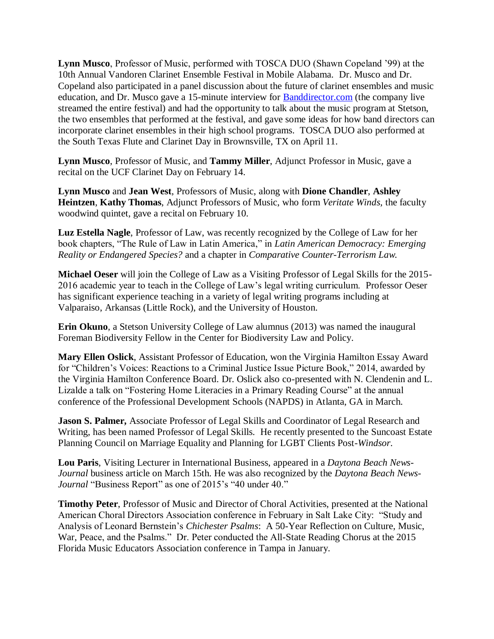**Lynn Musco**, Professor of Music, performed with TOSCA DUO (Shawn Copeland '99) at the 10th Annual Vandoren Clarinet Ensemble Festival in Mobile Alabama. Dr. Musco and Dr. Copeland also participated in a panel discussion about the future of clarinet ensembles and music education, and Dr. Musco gave a 15-minute interview for [Banddirector.com](http://banddirector.com/) (the company live streamed the entire festival) and had the opportunity to talk about the music program at Stetson, the two ensembles that performed at the festival, and gave some ideas for how band directors can incorporate clarinet ensembles in their high school programs. TOSCA DUO also performed at the South Texas Flute and Clarinet Day in Brownsville, TX on April 11.

**Lynn Musco**, Professor of Music, and **Tammy Miller**, Adjunct Professor in Music, gave a recital on the UCF Clarinet Day on February 14.

**Lynn Musco** and **Jean West**, Professors of Music, along with **Dione Chandler**, **Ashley Heintzen**, **Kathy Thomas**, Adjunct Professors of Music, who form *Veritate Winds,* the faculty woodwind quintet, gave a recital on February 10.

**Luz Estella Nagle**, Professor of Law, was recently recognized by the College of Law for her book chapters, "The Rule of Law in Latin America," in *Latin American Democracy: Emerging Reality or Endangered Species?* and a chapter in *Comparative Counter-Terrorism Law.*

**Michael Oeser** will join the College of Law as a Visiting Professor of Legal Skills for the 2015- 2016 academic year to teach in the College of Law's legal writing curriculum. Professor Oeser has significant experience teaching in a variety of legal writing programs including at Valparaiso, Arkansas (Little Rock), and the University of Houston.

**Erin Okuno**, a Stetson University College of Law alumnus (2013) was named the inaugural Foreman Biodiversity Fellow in the Center for Biodiversity Law and Policy.

**Mary Ellen Oslick**, Assistant Professor of Education, won the Virginia Hamilton Essay Award for "Children's Voices: Reactions to a Criminal Justice Issue Picture Book," 2014, awarded by the Virginia Hamilton Conference Board. Dr. Oslick also co-presented with N. Clendenin and L. Lizalde a talk on "Fostering Home Literacies in a Primary Reading Course" at the annual conference of the Professional Development Schools (NAPDS) in Atlanta, GA in March.

**Jason S. Palmer,** Associate Professor of Legal Skills and Coordinator of Legal Research and Writing, has been named Professor of Legal Skills. He recently presented to the Suncoast Estate Planning Council on Marriage Equality and Planning for LGBT Clients Post-*Windsor*.

**Lou Paris**, Visiting Lecturer in International Business, appeared in a *Daytona Beach News-Journal* business article on March 15th. He was also recognized by the *Daytona Beach News-Journal* "Business Report" as one of 2015's "40 under 40."

**Timothy Peter**, Professor of Music and Director of Choral Activities, presented at the National American Choral Directors Association conference in February in Salt Lake City: "Study and Analysis of Leonard Bernstein's *Chichester Psalms*: A 50-Year Reflection on Culture, Music, War, Peace, and the Psalms." Dr. Peter conducted the All-State Reading Chorus at the 2015 Florida Music Educators Association conference in Tampa in January.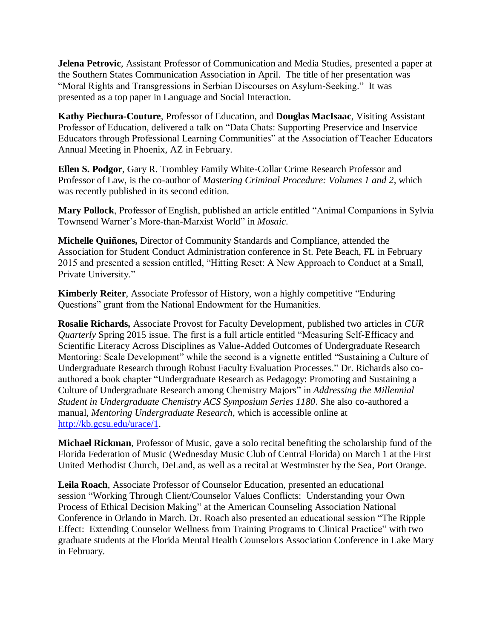**Jelena Petrovic**, Assistant Professor of Communication and Media Studies, presented a paper at the Southern States Communication Association in April. The title of her presentation was "Moral Rights and Transgressions in Serbian Discourses on Asylum-Seeking." It was presented as a top paper in Language and Social Interaction.

**Kathy Piechura-Couture**, Professor of Education, and **Douglas MacIsaac**, Visiting Assistant Professor of Education, delivered a talk on "Data Chats: Supporting Preservice and Inservice Educators through Professional Learning Communities" at the Association of Teacher Educators Annual Meeting in Phoenix, AZ in February.

**Ellen S. Podgor**, Gary R. Trombley Family White-Collar Crime Research Professor and Professor of Law, is the co-author of *Mastering Criminal Procedure: Volumes 1 and 2*, which was recently published in its second edition.

**Mary Pollock**, Professor of English, published an article entitled "Animal Companions in Sylvia Townsend Warner's More-than-Marxist World" in *Mosaic*.

**Michelle Quiñones,** Director of Community Standards and Compliance, attended the Association for Student Conduct Administration conference in St. Pete Beach, FL in February 2015 and presented a session entitled, "Hitting Reset: A New Approach to Conduct at a Small, Private University."

**Kimberly Reiter**, Associate Professor of History, won a highly competitive "Enduring Questions" grant from the National Endowment for the Humanities.

**Rosalie Richards,** Associate Provost for Faculty Development, published two articles in *CUR Quarterly* Spring 2015 issue. The first is a full article entitled "Measuring Self-Efficacy and Scientific Literacy Across Disciplines as Value-Added Outcomes of Undergraduate Research Mentoring: Scale Development" while the second is a vignette entitled "Sustaining a Culture of Undergraduate Research through Robust Faculty Evaluation Processes." Dr. Richards also coauthored a book chapter ["Undergraduate Research as Pedagogy: Promoting and Sustaining a](http://pubs.acs.org/doi/abs/10.1021/bk-2014-1180.ch007)  [Culture of Undergraduate Research among Chemistry Majors"](http://pubs.acs.org/doi/abs/10.1021/bk-2014-1180.ch007) in *Addressing the Millennial Student in Undergraduate Chemistry ACS Symposium Series 1180*. She also co-authored a manual, *Mentoring Undergraduate Research*, which is accessible online at [http://kb.gcsu.edu/urace/1.](http://kb.gcsu.edu/urace/1)

**Michael Rickman**, Professor of Music, gave a solo recital benefiting the scholarship fund of the Florida Federation of Music (Wednesday Music Club of Central Florida) on March 1 at the First United Methodist Church, DeLand, as well as a recital at Westminster by the Sea, Port Orange.

**Leila Roach**, Associate Professor of Counselor Education, presented an educational session "Working Through Client/Counselor Values Conflicts: Understanding your Own Process of Ethical Decision Making" at the American Counseling Association National Conference in Orlando in March. Dr. Roach also presented an educational session "The Ripple Effect: Extending Counselor Wellness from Training Programs to Clinical Practice" with two graduate students at the Florida Mental Health Counselors Association Conference in Lake Mary in February.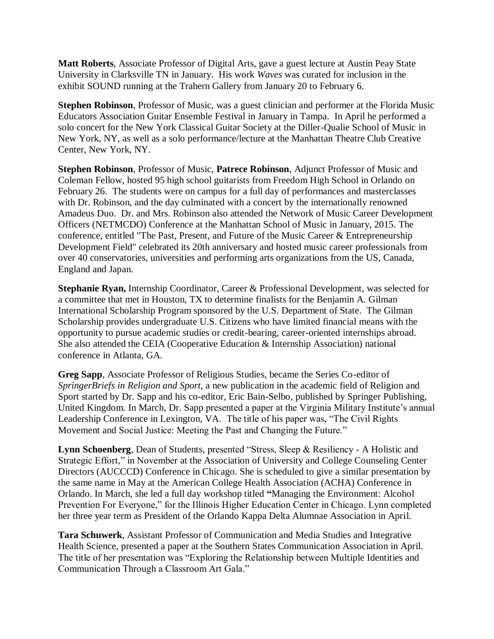**Matt Roberts**, Associate Professor of Digital Arts, gave a guest lecture at Austin Peay State University in Clarksville TN in January. His work *Waves* was curated for inclusion in the exhibit SOUND running at the Trahern Gallery from January 20 to February 6.

**Stephen Robinson**, Professor of Music, was a guest clinician and performer at the Florida Music Educators Association Guitar Ensemble Festival in January in Tampa. In April he performed a solo concert for the New York Classical Guitar Society at the Diller-Qualie School of Music in New York, NY, as well as a solo performance/lecture at the Manhattan Theatre Club Creative Center, New York, NY.

**Stephen Robinson**, Professor of Music, **Patrece Robinson**, Adjunct Professor of Music and Coleman Fellow, hosted 95 high school guitarists from Freedom High School in Orlando on February 26. The students were on campus for a full day of performances and masterclasses with Dr. Robinson, and the day culminated with a concert by the internationally renowned Amadeus Duo. Dr. and Mrs. Robinson also attended the Network of Music Career Development Officers (NETMCDO) Conference at the Manhattan School of Music in January, 2015. The conference, entitled "The Past, Present, and Future of the Music Career & Entrepreneurship Development Field" celebrated its 20th anniversary and hosted music career professionals from over 40 conservatories, universities and performing arts organizations from the US, Canada, England and Japan.

**Stephanie Ryan,** Internship Coordinator, Career & Professional Development, was selected for a committee that met in Houston, TX to determine finalists for the Benjamin A. Gilman International Scholarship Program sponsored by the U.S. Department of State. The Gilman Scholarship provides undergraduate U.S. Citizens who have limited financial means with the opportunity to pursue academic studies or credit-bearing, career-oriented internships abroad. She also attended the CEIA (Cooperative Education & Internship Association) national conference in Atlanta, GA.

**Greg Sapp**, Associate Professor of Religious Studies, became the Series Co-editor of *SpringerBriefs in Religion and Sport*, a new publication in the academic field of Religion and Sport started by Dr. Sapp and his co-editor, Eric Bain-Selbo, published by Springer Publishing, United Kingdom. In March, Dr. Sapp presented a paper at the Virginia Military Institute's annual Leadership Conference in Lexington, VA. The title of his paper was, "The Civil Rights Movement and Social Justice: Meeting the Past and Changing the Future."

**Lynn Schoenberg**, Dean of Students, presented "Stress, Sleep & Resiliency - A Holistic and Strategic Effort," in November at the Association of University and College Counseling Center Directors (AUCCCD) Conference in Chicago. She is scheduled to give a similar presentation by the same name in May at the American College Health Association (ACHA) Conference in Orlando. In March, she led a full day workshop titled **"**Managing the Environment: Alcohol Prevention For Everyone," for the Illinois Higher Education Center in Chicago. Lynn completed her three year term as President of the Orlando Kappa Delta Alumnae Association in April.

**Tara Schuwerk**, Assistant Professor of Communication and Media Studies and Integrative Health Science, presented a paper at the Southern States Communication Association in April. The title of her presentation was "Exploring the Relationship between Multiple Identities and Communication Through a Classroom Art Gala."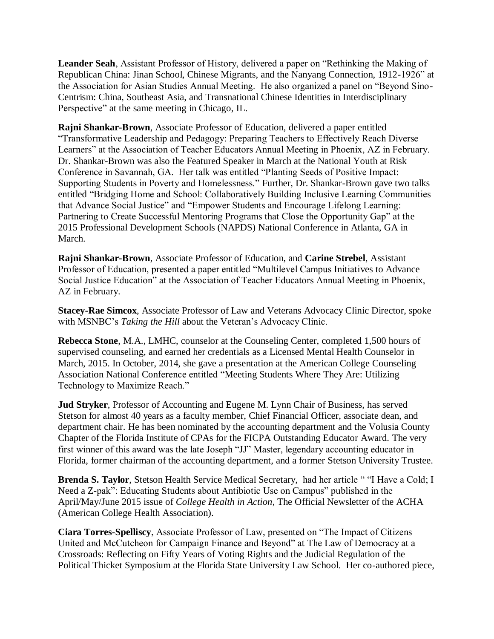**Leander Seah**, Assistant Professor of History, delivered a paper on "Rethinking the Making of Republican China: Jinan School, Chinese Migrants, and the Nanyang Connection, 1912-1926" at the Association for Asian Studies Annual Meeting. He also organized a panel on "Beyond Sino-Centrism: China, Southeast Asia, and Transnational Chinese Identities in Interdisciplinary Perspective" at the same meeting in Chicago, IL.

**Rajni Shankar-Brown**, Associate Professor of Education, delivered a paper entitled "Transformative Leadership and Pedagogy: Preparing Teachers to Effectively Reach Diverse Learners" at the Association of Teacher Educators Annual Meeting in Phoenix, AZ in February. Dr. Shankar-Brown was also the Featured Speaker in March at the National Youth at Risk Conference in Savannah, GA. Her talk was entitled "Planting Seeds of Positive Impact: Supporting Students in Poverty and Homelessness." Further, Dr. Shankar-Brown gave two talks entitled "Bridging Home and School: Collaboratively Building Inclusive Learning Communities that Advance Social Justice" and "Empower Students and Encourage Lifelong Learning: Partnering to Create Successful Mentoring Programs that Close the Opportunity Gap" at the 2015 Professional Development Schools (NAPDS) National Conference in Atlanta, GA in March.

**Rajni Shankar-Brown**, Associate Professor of Education, and **Carine Strebel**, Assistant Professor of Education, presented a paper entitled "Multilevel Campus Initiatives to Advance Social Justice Education" at the Association of Teacher Educators Annual Meeting in Phoenix, AZ in February.

**Stacey-Rae Simcox**, Associate Professor of Law and Veterans Advocacy Clinic Director, spoke with MSNBC's *Taking the Hill* about the Veteran's Advocacy Clinic.

**Rebecca Stone**, M.A., LMHC, counselor at the Counseling Center, completed 1,500 hours of supervised counseling, and earned her credentials as a Licensed Mental Health Counselor in March, 2015. In October, 2014, she gave a presentation at the American College Counseling Association National Conference entitled "Meeting Students Where They Are: Utilizing Technology to Maximize Reach."

**Jud Stryker**, Professor of Accounting and Eugene M. Lynn Chair of Business, has served Stetson for almost 40 years as a faculty member, Chief Financial Officer, associate dean, and department chair. He has been nominated by the accounting department and the Volusia County Chapter of the Florida Institute of CPAs for the FICPA Outstanding Educator Award. The very first winner of this award was the late Joseph "JJ" Master, legendary accounting educator in Florida, former chairman of the accounting department, and a former Stetson University Trustee.

**Brenda S. Taylor**, Stetson Health Service Medical Secretary, had her article " "I Have a Cold; I Need a Z-pak": Educating Students about Antibiotic Use on Campus" published in the April/May/June 2015 issue of *College Health in Action*, The Official Newsletter of the ACHA (American College Health Association).

**Ciara Torres-Spelliscy**, Associate Professor of Law, presented on "The Impact of Citizens United and McCutcheon for Campaign Finance and Beyond" at The Law of Democracy at a Crossroads: Reflecting on Fifty Years of Voting Rights and the Judicial Regulation of the Political Thicket Symposium at the Florida State University Law School. Her co-authored piece,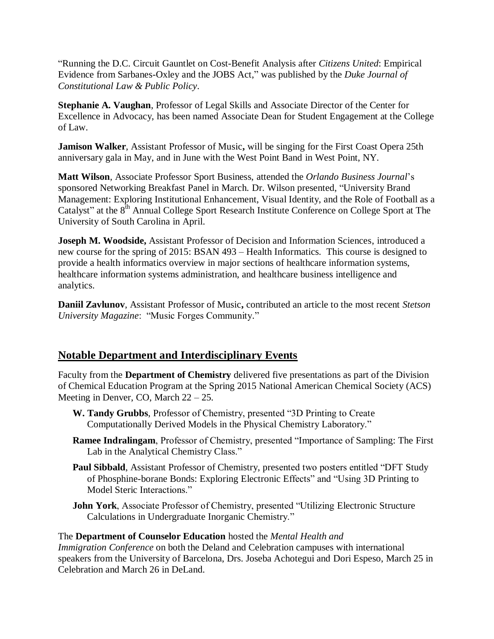"Running the D.C. Circuit Gauntlet on Cost-Benefit Analysis after *Citizens United*: Empirical Evidence from Sarbanes-Oxley and the JOBS Act," was published by the *Duke Journal of Constitutional Law & Public Policy*.

**Stephanie A. Vaughan**, Professor of Legal Skills and Associate Director of the Center for Excellence in Advocacy, has been named Associate Dean for Student Engagement at the College of Law.

**Jamison Walker**, Assistant Professor of Music**,** will be singing for the First Coast Opera 25th anniversary gala in May, and in June with the West Point Band in West Point, NY.

**Matt Wilson**, Associate Professor Sport Business, attended the *Orlando Business Journal*'s sponsored Networking Breakfast Panel in March. Dr. Wilson presented, "University Brand Management: Exploring Institutional Enhancement, Visual Identity, and the Role of Football as a Catalyst" at the 8<sup>th</sup> Annual College Sport Research Institute Conference on College Sport at The University of South Carolina in April.

**Joseph M. Woodside,** Assistant Professor of Decision and Information Sciences, introduced a new course for the spring of 2015: BSAN 493 – Health Informatics. This course is designed to provide a health informatics overview in major sections of healthcare information systems, healthcare information systems administration, and healthcare business intelligence and analytics.

**Daniil Zavlunov**, Assistant Professor of Music**,** contributed an article to the most recent *Stetson University Magazine*: "Music Forges Community."

## **Notable Department and Interdisciplinary Events**

Faculty from the **Department of Chemistry** delivered five presentations as part of the Division of Chemical Education Program at the Spring 2015 National American Chemical Society (ACS) Meeting in Denver, CO, March 22 – 25.

- **W. Tandy Grubbs**, Professor of Chemistry, presented "3D Printing to Create Computationally Derived Models in the Physical Chemistry Laboratory."
- **Ramee Indralingam**, Professor of Chemistry, presented "Importance of Sampling: The First Lab in the Analytical Chemistry Class."
- Paul Sibbald, Assistant Professor of Chemistry, presented two posters entitled "DFT Study of Phosphine-borane Bonds: Exploring Electronic Effects" and "Using 3D Printing to Model Steric Interactions."
- **John York**, Associate Professor of Chemistry, presented "Utilizing Electronic Structure Calculations in Undergraduate Inorganic Chemistry."

## The **Department of Counselor Education** hosted the *Mental Health and*

*Immigration Conference* on both the Deland and Celebration campuses with international speakers from the University of Barcelona, Drs. Joseba Achotegui and Dori Espeso, March 25 in Celebration and March 26 in DeLand.